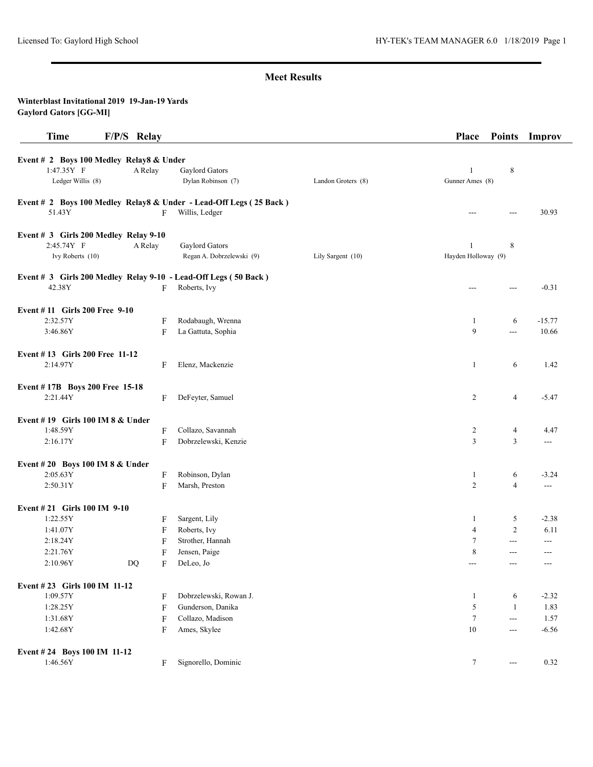| <b>Time</b>                              | F/P/S Relay           |                                                                    |                    | Place               | <b>Points</b>     | Improv   |
|------------------------------------------|-----------------------|--------------------------------------------------------------------|--------------------|---------------------|-------------------|----------|
| Event # 2 Boys 100 Medley Relay8 & Under |                       |                                                                    |                    |                     |                   |          |
| 1:47.35Y F                               | A Relay               | Gaylord Gators                                                     |                    | 1                   | 8                 |          |
| Ledger Willis (8)                        |                       | Dylan Robinson (7)                                                 | Landon Groters (8) | Gunner Ames (8)     |                   |          |
|                                          |                       | Event # 2 Boys 100 Medley Relay8 & Under - Lead-Off Legs (25 Back) |                    |                     |                   |          |
| 51.43Y                                   | F                     | Willis, Ledger                                                     |                    | ---                 | ---               | 30.93    |
| Event # 3 Girls 200 Medley Relay 9-10    |                       |                                                                    |                    |                     |                   |          |
| 2:45.74Y F                               | A Relay               | Gaylord Gators                                                     |                    | $\mathbf{1}$        | 8                 |          |
| Ivy Roberts (10)                         |                       | Regan A. Dobrzelewski (9)                                          | Lily Sargent (10)  | Hayden Holloway (9) |                   |          |
|                                          |                       | Event # 3 Girls 200 Medley Relay 9-10 - Lead-Off Legs (50 Back)    |                    |                     |                   |          |
| 42.38Y                                   | F                     | Roberts, Ivy                                                       |                    | ---                 | ---               | $-0.31$  |
| Event #11 Girls 200 Free 9-10            |                       |                                                                    |                    |                     |                   |          |
| 2:32.57Y                                 | F                     | Rodabaugh, Wrenna                                                  |                    | 1                   | 6                 | $-15.77$ |
| 3:46.86Y                                 | F                     | La Gattuta, Sophia                                                 |                    | 9                   | ---               | 10.66    |
| Event #13 Girls 200 Free 11-12           |                       |                                                                    |                    |                     |                   |          |
| 2:14.97Y                                 | F                     | Elenz, Mackenzie                                                   |                    | 1                   | 6                 | 1.42     |
| Event #17B Boys 200 Free 15-18           |                       |                                                                    |                    |                     |                   |          |
| 2:21.44Y                                 | F                     | DeFeyter, Samuel                                                   |                    | 2                   | $\overline{4}$    | $-5.47$  |
| Event #19 Girls 100 IM $8 &$ Under       |                       |                                                                    |                    |                     |                   |          |
| 1:48.59Y                                 | F                     | Collazo, Savannah                                                  |                    | 2                   | 4                 | 4.47     |
| 2:16.17Y                                 | F                     | Dobrzelewski, Kenzie                                               |                    | 3                   | 3                 | ---      |
| Event #20 Boys 100 IM 8 & Under          |                       |                                                                    |                    |                     |                   |          |
| 2:05.63Y                                 | F                     | Robinson, Dylan                                                    |                    | $\mathbf{1}$        | 6                 | $-3.24$  |
| 2:50.31Y                                 | F                     | Marsh, Preston                                                     |                    | $\overline{c}$      | $\overline{4}$    | $- - -$  |
| Event # 21 Girls 100 IM 9-10             |                       |                                                                    |                    |                     |                   |          |
| 1:22.55Y                                 | F                     | Sargent, Lily                                                      |                    | 1                   | 5                 | $-2.38$  |
| 1:41.07Y                                 | F                     | Roberts, Ivy                                                       |                    | $\overline{4}$      | $\overline{c}$    | 6.11     |
| 2:18.24Y                                 | F                     | Strother, Hannah                                                   |                    | 7                   | ---               | ---      |
| 2:21.76Y                                 | F                     | Jensen, Paige                                                      |                    | 8                   | $---$             | $---$    |
| 2:10.96Y                                 | $\rm DQ$<br>${\bf F}$ | DeLeo, Jo                                                          |                    | $\qquad \qquad -$   | $\qquad \qquad -$ |          |
| Event #23 Girls 100 IM 11-12             |                       |                                                                    |                    |                     |                   |          |
| 1:09.57Y                                 | F                     | Dobrzelewski, Rowan J.                                             |                    | 1                   | 6                 | $-2.32$  |
| 1:28.25Y                                 | F                     | Gunderson, Danika                                                  |                    | 5                   | 1                 | 1.83     |
| 1:31.68Y                                 | F                     | Collazo, Madison                                                   |                    | 7                   | $\overline{a}$    | 1.57     |
| 1:42.68Y                                 | F                     | Ames, Skylee                                                       |                    | 10                  | $---$             | $-6.56$  |
| Event #24 Boys 100 IM 11-12              |                       |                                                                    |                    |                     |                   |          |
| 1:46.56Y                                 | F                     | Signorello, Dominic                                                |                    | $\tau$              | $\qquad \qquad -$ | 0.32     |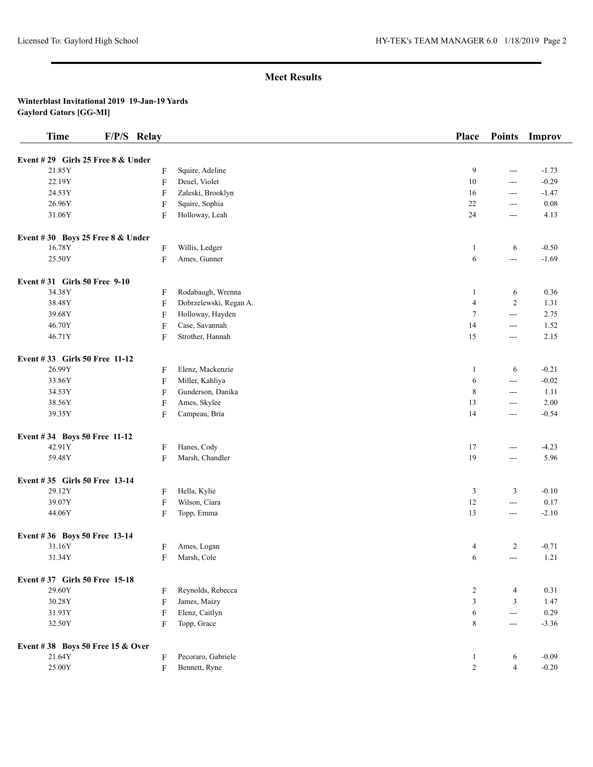| <b>Time</b>                       | F/P/S Relay               |                        | Place          | <b>Points</b>  | Improv  |
|-----------------------------------|---------------------------|------------------------|----------------|----------------|---------|
| Event #29 Girls 25 Free 8 & Under |                           |                        |                |                |         |
| 21.85Y                            | F                         | Squire, Adeline        | 9              | $\sim$ $\sim$  | $-1.73$ |
| 22.19Y                            | $\boldsymbol{\mathrm{F}}$ | Deuel, Violet          | 10             | $\overline{a}$ | $-0.29$ |
| 24.53Y                            | F                         | Zaleski, Brooklyn      | 16             | $\frac{1}{2}$  | $-1.47$ |
| 26.96Y                            | F                         | Squire, Sophia         | 22             | $\frac{1}{2}$  | 0.08    |
| 31.06Y                            | F                         | Holloway, Leah         | 24             | $\overline{a}$ | 4.13    |
| Event #30 Boys 25 Free 8 & Under  |                           |                        |                |                |         |
| 16.78Y                            | F                         | Willis, Ledger         | 1              | 6              | $-0.50$ |
| 25.50Y                            | F                         | Ames, Gunner           | 6              | $\sim$ $\sim$  | $-1.69$ |
| Event #31 Girls 50 Free 9-10      |                           |                        |                |                |         |
| 34.38Y                            | F                         | Rodabaugh, Wrenna      | $\mathbf{1}$   | 6              | 0.36    |
| 38.48Y                            | $\boldsymbol{\mathrm{F}}$ | Dobrzelewski, Regan A. | $\overline{4}$ | $\overline{c}$ | 1.31    |
| 39.68Y                            | F                         | Holloway, Hayden       | $\overline{7}$ | $\sim$ $\sim$  | 2.75    |
| 46.70Y                            | $\boldsymbol{\mathrm{F}}$ | Case, Savannah         | 14             | $\overline{a}$ | 1.52    |
| 46.71Y                            | F                         | Strother, Hannah       | 15             | $\sim$ $\sim$  | 2.15    |
| Event #33 Girls 50 Free 11-12     |                           |                        |                |                |         |
| 26.99Y                            | F                         | Elenz, Mackenzie       | 1              | 6              | $-0.21$ |
| 33.86Y                            | F                         | Miller, Kahliya        | 6              | $\overline{a}$ | $-0.02$ |
| 34.53Y                            | $\boldsymbol{\mathrm{F}}$ | Gunderson, Danika      | 8              | $\sim$ $\sim$  | 1.11    |
| 38.56Y                            | $\boldsymbol{\mathrm{F}}$ | Ames, Skylee           | 13             | $\frac{1}{2}$  | 2.00    |
| 39.35Y                            | F                         | Campeau, Bria          | 14             | $---$          | $-0.54$ |
| Event #34 Boys 50 Free 11-12      |                           |                        |                |                |         |
| 42.91Y                            | F                         | Hanes, Cody            | 17             | $\frac{1}{2}$  | $-4.23$ |
| 59.48Y                            | F                         | Marsh, Chandler        | 19             | $\frac{1}{2}$  | 5.96    |
| Event #35 Girls 50 Free 13-14     |                           |                        |                |                |         |
| 29.12Y                            | F                         | Hella, Kylie           | 3              | 3              | $-0.10$ |
| 39.07Y                            | $\boldsymbol{\mathrm{F}}$ | Wilson, Ciara          | 12             | $\sim$ $\sim$  | 0.17    |
| 44.06Y                            | F                         | Topp, Emma             | 13             | $\frac{1}{2}$  | $-2.10$ |
| Event #36 Boys 50 Free 13-14      |                           |                        |                |                |         |
| 31.16Y                            | F                         | Ames, Logan            | 4              | $\overline{c}$ | $-0.71$ |
| 31.34Y                            | $\boldsymbol{\mathrm{F}}$ | Marsh, Cole            | 6              | $\overline{a}$ | 1.21    |
| Event #37 Girls 50 Free 15-18     |                           |                        |                |                |         |
| 29.60Y                            | F                         | Reynolds, Rebecca      | $\overline{c}$ | $\overline{4}$ | 0.31    |
| 30.28Y                            | F                         | James, Maizy           | $\mathfrak{Z}$ | $\mathfrak{Z}$ | 1.47    |
| 31.93Y                            | F                         | Elenz, Caitlyn         | 6              | $\sim$ $\sim$  | 0.29    |
| 32.50Y                            | F                         | Topp, Grace            | 8              | $\sim$ $\sim$  | $-3.36$ |
| Event #38 Boys 50 Free 15 & Over  |                           |                        |                |                |         |
| 21.64Y                            | F                         | Pecoraro, Gabriele     | $\mathbf{1}$   | 6              | $-0.09$ |
| 25.00Y                            | F                         | Bennett, Ryne          | $\sqrt{2}$     | $\overline{4}$ | $-0.20$ |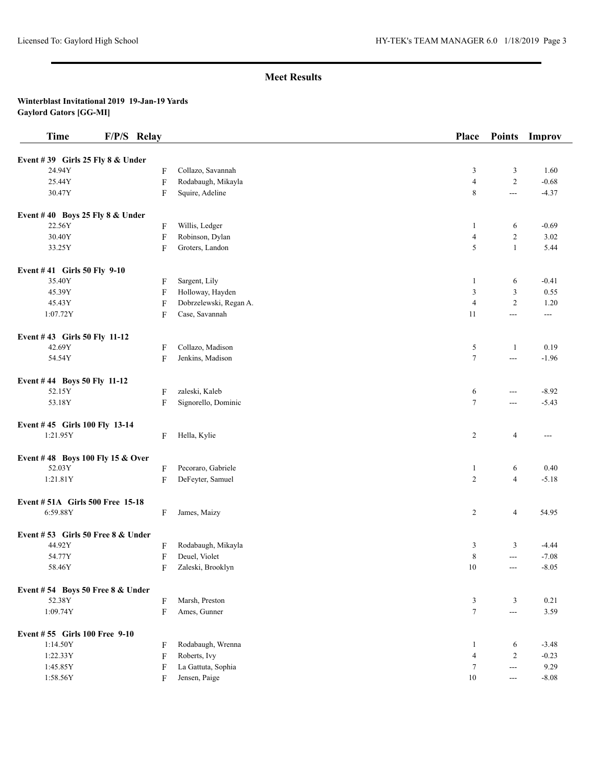| <b>Time</b><br>F/P/S Relay            |                           |                                          | <b>Place</b>        | <b>Points</b>  | Improv          |
|---------------------------------------|---------------------------|------------------------------------------|---------------------|----------------|-----------------|
| Event #39 Girls 25 Fly 8 & Under      |                           |                                          |                     |                |                 |
| 24.94Y                                | F                         | Collazo, Savannah                        | 3                   | 3              | 1.60            |
| 25.44Y                                | $\boldsymbol{\mathrm{F}}$ | Rodabaugh, Mikayla                       | $\overline{4}$      | $\sqrt{2}$     | $-0.68$         |
| 30.47Y                                | F                         | Squire, Adeline                          | 8                   | $---$          | $-4.37$         |
| Event #40 Boys 25 Fly 8 & Under       |                           |                                          |                     |                |                 |
| 22.56Y                                | F                         | Willis, Ledger                           | 1                   | 6              | $-0.69$         |
| 30.40Y                                | $\boldsymbol{\mathrm{F}}$ | Robinson, Dylan                          | $\overline{4}$      | $\overline{c}$ | 3.02            |
| 33.25Y                                | F                         | Groters, Landon                          | 5                   | $\mathbf{1}$   | 5.44            |
|                                       |                           |                                          |                     |                |                 |
| Event #41 Girls 50 Fly 9-10<br>35.40Y |                           | Sargent, Lily                            |                     |                |                 |
| 45.39Y                                | F                         |                                          | 1<br>$\mathfrak{Z}$ | 6<br>3         | $-0.41$<br>0.55 |
|                                       | F                         | Holloway, Hayden                         | $\overline{4}$      | $\overline{c}$ |                 |
| 45.43Y<br>1:07.72Y                    | ${\bf F}$<br>F            | Dobrzelewski, Regan A.<br>Case, Savannah | 11                  | ---            | 1.20<br>$---$   |
|                                       |                           |                                          |                     |                |                 |
| Event #43 Girls 50 Fly 11-12          |                           |                                          |                     |                |                 |
| 42.69Y                                | F                         | Collazo, Madison                         | 5                   | $\mathbf{1}$   | 0.19            |
| 54.54Y                                | F                         | Jenkins, Madison                         | $\tau$              | $ -$           | $-1.96$         |
| Event #44 Boys 50 Fly 11-12           |                           |                                          |                     |                |                 |
| 52.15Y                                | F                         | zaleski, Kaleb                           | 6                   | $---$          | $-8.92$         |
| 53.18Y                                | F                         | Signorello, Dominic                      | $\tau$              | ---            | $-5.43$         |
| Event #45 Girls 100 Fly 13-14         |                           |                                          |                     |                |                 |
| 1:21.95Y                              | F                         | Hella, Kylie                             | 2                   | $\overline{4}$ | $--$            |
| Event #48 Boys 100 Fly 15 & Over      |                           |                                          |                     |                |                 |
| 52.03Y                                | F                         | Pecoraro, Gabriele                       | $\mathbf{1}$        | 6              | 0.40            |
| 1:21.81Y                              | F                         | DeFeyter, Samuel                         | $\overline{2}$      | $\overline{4}$ | $-5.18$         |
| Event #51A Girls 500 Free 15-18       |                           |                                          |                     |                |                 |
| 6:59.88Y                              | F                         | James, Maizy                             | 2                   | $\overline{4}$ | 54.95           |
| Event #53 Girls 50 Free 8 & Under     |                           |                                          |                     |                |                 |
| 44.92Y                                | F                         | Rodabaugh, Mikayla                       | 3                   | 3              | $-4.44$         |
| 54.77Y                                | F                         | Deuel, Violet                            | 8                   | ---            | $-7.08$         |
| 58.46Y                                | F                         | Zaleski, Brooklyn                        | $10\,$              | $\sim$ $\sim$  | $-8.05$         |
| Event #54 Boys 50 Free 8 & Under      |                           |                                          |                     |                |                 |
| 52.38Y                                | F                         | Marsh, Preston                           | 3                   | 3              | 0.21            |
| 1:09.74Y                              | F                         | Ames, Gunner                             | $\tau$              | $\overline{a}$ | 3.59            |
| Event #55 Girls 100 Free 9-10         |                           |                                          |                     |                |                 |
| 1:14.50Y                              | F                         | Rodabaugh, Wrenna                        | $\mathbf{1}$        | 6              | $-3.48$         |
| 1:22.33Y                              | F                         | Roberts, Ivy                             | $\overline{4}$      | $\overline{c}$ | $-0.23$         |
| 1:45.85Y                              | F                         | La Gattuta, Sophia                       | 7                   | $\overline{a}$ | 9.29            |
| 1:58.56Y                              | F                         | Jensen, Paige                            | 10                  | $--$           | $-8.08$         |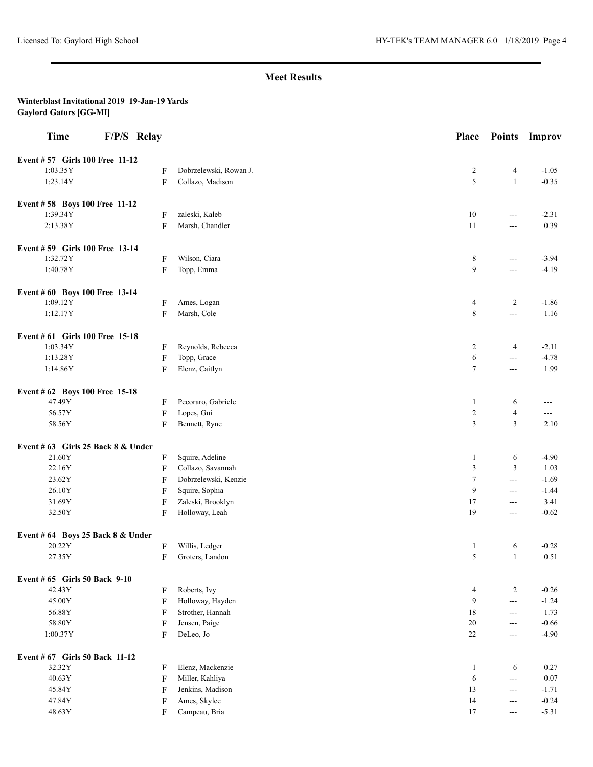| <b>Time</b>                        | F/P/S Relay               |                        | <b>Place</b>   | <b>Points</b>            | Improv  |
|------------------------------------|---------------------------|------------------------|----------------|--------------------------|---------|
| Event #57 Girls 100 Free 11-12     |                           |                        |                |                          |         |
| 1:03.35Y                           | F                         | Dobrzelewski, Rowan J. | $\overline{2}$ | $\overline{4}$           | $-1.05$ |
| 1:23.14Y                           | F                         | Collazo, Madison       | 5              | $\mathbf{1}$             | $-0.35$ |
| Event #58 Boys 100 Free 11-12      |                           |                        |                |                          |         |
| 1:39.34Y                           | F                         | zaleski, Kaleb         | 10             | $\sim$ $\sim$            | $-2.31$ |
| 2:13.38Y                           | F                         | Marsh, Chandler        | 11             | $\overline{a}$           | 0.39    |
| Event #59 Girls 100 Free 13-14     |                           |                        |                |                          |         |
| 1:32.72Y                           | $\boldsymbol{\mathrm{F}}$ | Wilson, Ciara          | 8              | $\overline{a}$           | $-3.94$ |
| 1:40.78Y                           | F                         | Topp, Emma             | 9              | $\overline{a}$           | $-4.19$ |
| Event # 60 Boys 100 Free 13-14     |                           |                        |                |                          |         |
| 1:09.12Y                           | F                         | Ames, Logan            | $\overline{4}$ | $\overline{c}$           | $-1.86$ |
| 1:12.17Y                           | $\boldsymbol{\mathrm{F}}$ | Marsh, Cole            | $\,8\,$        | $\overline{a}$           | 1.16    |
| Event # 61 Girls 100 Free 15-18    |                           |                        |                |                          |         |
| 1:03.34Y                           | F                         | Reynolds, Rebecca      | $\overline{2}$ | $\overline{4}$           | $-2.11$ |
| 1:13.28Y                           | F                         | Topp, Grace            | 6              | $\hspace{0.05cm} \ldots$ | $-4.78$ |
| 1:14.86Y                           | F                         | Elenz, Caitlyn         | 7              | $\overline{a}$           | 1.99    |
| Event # 62 Boys 100 Free 15-18     |                           |                        |                |                          |         |
| 47.49Y                             | F                         | Pecoraro, Gabriele     | -1             | 6                        | ---     |
| 56.57Y                             | F                         | Lopes, Gui             | $\overline{2}$ | $\overline{4}$           | $--$    |
| 58.56Y                             | F                         | Bennett, Ryne          | $\overline{3}$ | $\overline{3}$           | 2.10    |
| Event # 63 Girls 25 Back 8 & Under |                           |                        |                |                          |         |
| 21.60Y                             | F                         | Squire, Adeline        | $\mathbf{1}$   | 6                        | $-4.90$ |
| 22.16Y                             | F                         | Collazo, Savannah      | $\mathfrak{Z}$ | $\mathfrak{Z}$           | 1.03    |
| 23.62Y                             | F                         | Dobrzelewski, Kenzie   | $\tau$         | $\overline{a}$           | $-1.69$ |
| 26.10Y                             | F                         | Squire, Sophia         | 9              | $\sim$ $\sim$            | $-1.44$ |
| 31.69Y                             | F                         | Zaleski, Brooklyn      | 17             | $\qquad \qquad -$        | 3.41    |
| 32.50Y                             | F                         | Holloway, Leah         | 19             | $- - -$                  | $-0.62$ |
| Event #64 Boys 25 Back 8 & Under   |                           |                        |                |                          |         |
| 20.22Y                             | F                         | Willis, Ledger         | $\mathbf{1}$   | 6                        | $-0.28$ |
| 27.35Y                             | F                         | Groters, Landon        | 5              | $\mathbf{1}$             | 0.51    |
| Event # 65 Girls 50 Back 9-10      |                           |                        |                |                          |         |
| 42.43Y                             | $\mathbf F$               | Roberts, Ivy           | $\overline{4}$ | $\overline{c}$           | $-0.26$ |
| 45.00Y                             | F                         | Holloway, Hayden       | 9              | $\sim$ $\sim$            | $-1.24$ |
| 56.88Y                             | F                         | Strother, Hannah       | 18             | $\scriptstyle\cdots$     | 1.73    |
| 58.80Y                             | $\mathbf{F}$              | Jensen, Paige          | $20\,$         | $- - -$                  | $-0.66$ |
| 1:00.37Y                           | F                         | DeLeo, Jo              | 22             | $---$                    | $-4.90$ |
| Event # 67 Girls 50 Back 11-12     |                           |                        |                |                          |         |
| 32.32Y                             | F                         | Elenz, Mackenzie       | $\mathbf{1}$   | 6                        | 0.27    |
| 40.63Y                             | $\mathbf{F}$              | Miller, Kahliya        | 6              | $\overline{a}$           | 0.07    |
| 45.84Y                             | F                         | Jenkins, Madison       | 13             | $\sim$ $\sim$            | $-1.71$ |
| 47.84Y                             | F                         | Ames, Skylee           | 14             | $\sim$ $\sim$            | $-0.24$ |
| 48.63Y                             | F                         | Campeau, Bria          | 17             | $- - -$                  | $-5.31$ |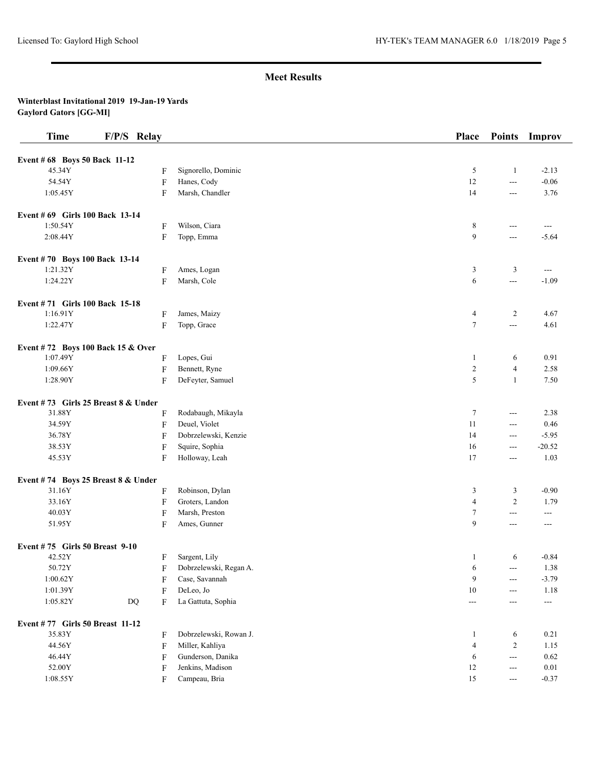| <b>Time</b>                           | F/P/S Relay                 |                        | Place          | <b>Points</b>     | <b>Improv</b>         |
|---------------------------------------|-----------------------------|------------------------|----------------|-------------------|-----------------------|
| Event # 68 Boys 50 Back 11-12         |                             |                        |                |                   |                       |
| 45.34Y                                | F                           | Signorello, Dominic    | 5              | $\mathbf{1}$      | $-2.13$               |
| 54.54Y                                | $\boldsymbol{\mathrm{F}}$   | Hanes, Cody            | 12             | $\frac{1}{2}$     | $-0.06$               |
| 1:05.45Y                              | F                           | Marsh, Chandler        | 14             | $---$             | 3.76                  |
| Event # 69 Girls 100 Back 13-14       |                             |                        |                |                   |                       |
| 1:50.54Y                              | F                           | Wilson, Ciara          | 8              | $---$             | $- - -$               |
| 2:08.44Y                              | F                           | Topp, Emma             | 9              | ---               | $-5.64$               |
| Event #70 Boys 100 Back 13-14         |                             |                        |                |                   |                       |
| 1:21.32Y                              | F                           | Ames, Logan            | 3              | 3                 | $\scriptstyle \cdots$ |
| 1:24.22Y                              | F                           | Marsh, Cole            | 6              | $-$               | $-1.09$               |
| Event #71 Girls 100 Back 15-18        |                             |                        |                |                   |                       |
| 1:16.91Y                              | F                           | James, Maizy           | $\overline{4}$ | $\overline{c}$    | 4.67                  |
| 1:22.47Y                              | F                           | Topp, Grace            | $\tau$         | ---               | 4.61                  |
| Event #72 Boys 100 Back 15 & Over     |                             |                        |                |                   |                       |
| 1:07.49Y                              | F                           | Lopes, Gui             | $\mathbf{1}$   | 6                 | 0.91                  |
| 1:09.66Y                              | F                           | Bennett, Ryne          | $\overline{c}$ | $\overline{4}$    | 2.58                  |
| 1:28.90Y                              | F                           | DeFeyter, Samuel       | 5              | $\mathbf{1}$      | 7.50                  |
| Event #73 Girls 25 Breast $8 &$ Under |                             |                        |                |                   |                       |
| 31.88Y                                | F                           | Rodabaugh, Mikayla     | $\tau$         | $--$              | 2.38                  |
| 34.59Y                                | F                           | Deuel, Violet          | 11             | $---$             | 0.46                  |
| 36.78Y                                | F                           | Dobrzelewski, Kenzie   | 14             | $---$             | $-5.95$               |
| 38.53Y                                | F                           | Squire, Sophia         | 16             | $---$             | $-20.52$              |
| 45.53Y                                | F                           | Holloway, Leah         | 17             | $---$             | 1.03                  |
| Event #74 Boys 25 Breast 8 & Under    |                             |                        |                |                   |                       |
| 31.16Y                                | F                           | Robinson, Dylan        | 3              | 3                 | $-0.90$               |
| 33.16Y                                | F                           | Groters, Landon        | $\overline{4}$ | $\overline{c}$    | 1.79                  |
| 40.03Y                                | F                           | Marsh, Preston         | 7              | ---               | $\scriptstyle \cdots$ |
| 51.95Y                                | F                           | Ames, Gunner           | 9              | $---$             | ---                   |
| Event #75 Girls 50 Breast 9-10        |                             |                        |                |                   |                       |
| 42.52Y                                | F                           | Sargent, Lily          | 1              | 6                 | $-0.84$               |
| 50.72Y                                | F                           | Dobrzelewski, Regan A. | 6              | $\qquad \qquad -$ | 1.38                  |
| 1:00.62Y                              | F                           | Case, Savannah         | 9              | $---$             | $-3.79$               |
| 1:01.39Y                              | F                           | DeLeo, Jo              | 10             | $---$             | 1.18                  |
| 1:05.82Y                              | $\mathbf{D}\mathbf{Q}$<br>F | La Gattuta, Sophia     | $\frac{1}{2}$  | ---               | ---                   |
| Event #77 Girls 50 Breast 11-12       |                             |                        |                |                   |                       |
| 35.83Y                                | F                           | Dobrzelewski, Rowan J. | $\mathbf{1}$   | 6                 | 0.21                  |
| 44.56Y                                | F                           | Miller, Kahliya        | 4              | $\overline{c}$    | 1.15                  |
| 46.44Y                                | F                           | Gunderson, Danika      | 6              | $\frac{1}{2}$     | 0.62                  |
| 52.00Y                                | F                           | Jenkins, Madison       | 12             | ---               | $0.01\,$              |
| 1:08.55Y                              | F                           | Campeau, Bria          | $15\,$         | $---$             | $-0.37$               |